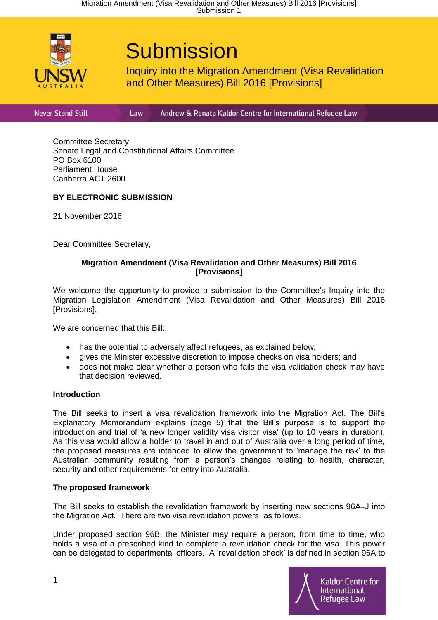

# **Submission**

Inquiry into the Migration Amendment (Visa Revalidation and Other Measures) Bill 2016 [Provisions]

**Never Stand Still** 

Andrew & Renata Kaldor Centre for International Refugee Law

Committee Secretary Senate Legal and Constitutional Affairs Committee PO Box 6100 Parliament House Canberra ACT 2600

Law

# **BY ELECTRONIC SUBMISSION**

21 November 2016

Dear Committee Secretary,

#### **Migration Amendment (Visa Revalidation and Other Measures) Bill 2016 [Provisions]**

We welcome the opportunity to provide a submission to the Committee's Inquiry into the Migration Legislation Amendment (Visa Revalidation and Other Measures) Bill 2016 [Provisions].

We are concerned that this Bill:

- has the potential to adversely affect refugees, as explained below;
- gives the Minister excessive discretion to impose checks on visa holders; and
- does not make clear whether a person who fails the visa validation check may have that decision reviewed.

#### **Introduction**

The Bill seeks to insert a visa revalidation framework into the Migration Act. The Bill's Explanatory Memorandum explains (page 5) that the Bill's purpose is to support the introduction and trial of 'a new longer validity visa visitor visa' (up to 10 years in duration). As this visa would allow a holder to travel in and out of Australia over a long period of time, the proposed measures are intended to allow the government to 'manage the risk' to the Australian community resulting from a person's changes relating to health, character, security and other requirements for entry into Australia.

# **The proposed framework**

The Bill seeks to establish the revalidation framework by inserting new sections 96A–J into the Migration Act. There are two visa revalidation powers, as follows.

Under proposed section 96B, the Minister may require a person, from time to time, who holds a visa of a prescribed kind to complete a revalidation check for the visa. This power can be delegated to departmental officers. A 'revalidation check' is defined in section 96A to

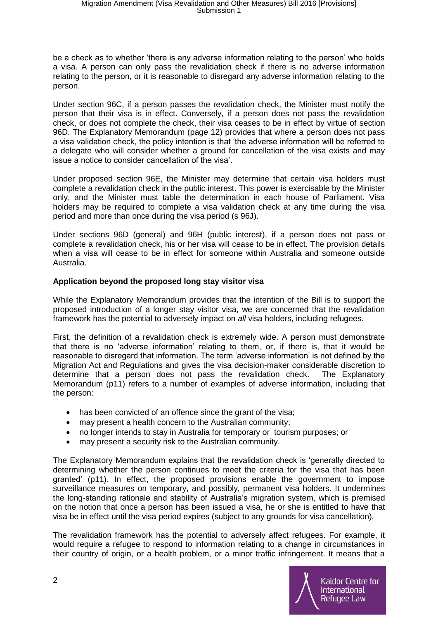be a check as to whether 'there is any adverse information relating to the person' who holds a visa. A person can only pass the revalidation check if there is no adverse information relating to the person, or it is reasonable to disregard any adverse information relating to the person.

Under section 96C, if a person passes the revalidation check, the Minister must notify the person that their visa is in effect. Conversely, if a person does not pass the revalidation check, or does not complete the check, their visa ceases to be in effect by virtue of section 96D. The Explanatory Memorandum (page 12) provides that where a person does not pass a visa validation check, the policy intention is that 'the adverse information will be referred to a delegate who will consider whether a ground for cancellation of the visa exists and may issue a notice to consider cancellation of the visa'.

Under proposed section 96E, the Minister may determine that certain visa holders must complete a revalidation check in the public interest. This power is exercisable by the Minister only, and the Minister must table the determination in each house of Parliament. Visa holders may be required to complete a visa validation check at any time during the visa period and more than once during the visa period (s 96J).

Under sections 96D (general) and 96H (public interest), if a person does not pass or complete a revalidation check, his or her visa will cease to be in effect. The provision details when a visa will cease to be in effect for someone within Australia and someone outside Australia.

# **Application beyond the proposed long stay visitor visa**

While the Explanatory Memorandum provides that the intention of the Bill is to support the proposed introduction of a longer stay visitor visa, we are concerned that the revalidation framework has the potential to adversely impact on *all* visa holders, including refugees.

First, the definition of a revalidation check is extremely wide. A person must demonstrate that there is no 'adverse information' relating to them, or, if there is, that it would be reasonable to disregard that information. The term 'adverse information' is not defined by the Migration Act and Regulations and gives the visa decision-maker considerable discretion to determine that a person does not pass the revalidation check. The Explanatory Memorandum (p11) refers to a number of examples of adverse information, including that the person:

- has been convicted of an offence since the grant of the visa;
- may present a health concern to the Australian community;
- no longer intends to stay in Australia for temporary or tourism purposes; or
- may present a security risk to the Australian community.

The Explanatory Memorandum explains that the revalidation check is 'generally directed to determining whether the person continues to meet the criteria for the visa that has been granted' (p11). In effect, the proposed provisions enable the government to impose surveillance measures on temporary, and possibly, permanent visa holders. It undermines the long-standing rationale and stability of Australia's migration system, which is premised on the notion that once a person has been issued a visa, he or she is entitled to have that visa be in effect until the visa period expires (subject to any grounds for visa cancellation).

The revalidation framework has the potential to adversely affect refugees. For example, it would require a refugee to respond to information relating to a change in circumstances in their country of origin, or a health problem, or a minor traffic infringement. It means that a